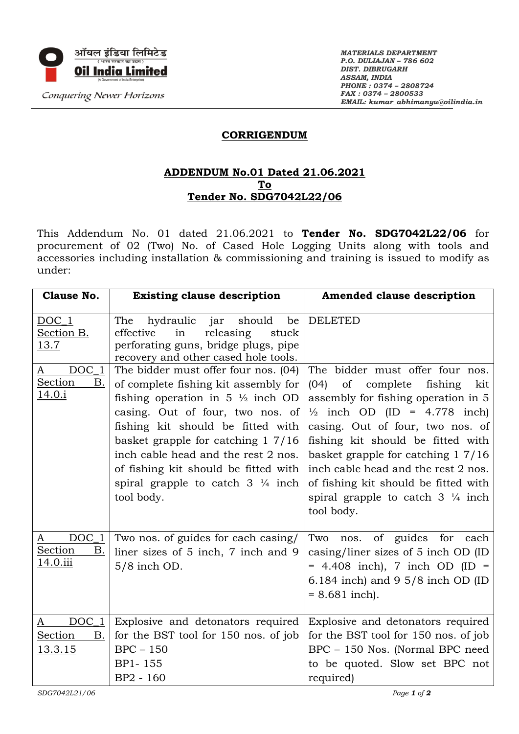

*MATERIALS DEPARTMENT P.O. DULIAJAN – 786 602 DIST. DIBRUGARH ASSAM, INDIA PHONE : 0374 – 2808724 FAX : 0374 – 2800533 EMAIL: kumar\_abhimanyu@oilindia.in*

## **CORRIGENDUM**

## **ADDENDUM No.01 Dated 21.06.2021 To Tender No. SDG7042L22/06**

This Addendum No. 01 dated 21.06.2021 to **Tender No. SDG7042L22/06** for procurement of 02 (Two) No. of Cased Hole Logging Units along with tools and accessories including installation & commissioning and training is issued to modify as under:

| <b>Clause No.</b>                                     | <b>Existing clause description</b>                                                                                                                                                                                                                                                                                                                                                     | <b>Amended clause description</b>                                                                                                                                                                                                                                                                                                                                                                                      |
|-------------------------------------------------------|----------------------------------------------------------------------------------------------------------------------------------------------------------------------------------------------------------------------------------------------------------------------------------------------------------------------------------------------------------------------------------------|------------------------------------------------------------------------------------------------------------------------------------------------------------------------------------------------------------------------------------------------------------------------------------------------------------------------------------------------------------------------------------------------------------------------|
| $DOC_1$<br>Section B.<br>13.7                         | The<br>hydraulic<br>jar<br>should<br>be<br>effective<br>in<br>releasing<br>stuck<br>perforating guns, bridge plugs, pipe<br>recovery and other cased hole tools.                                                                                                                                                                                                                       | <b>DELETED</b>                                                                                                                                                                                                                                                                                                                                                                                                         |
| $DOC_1$<br>A<br><b>Section</b><br>В.<br><u>14.0.i</u> | The bidder must offer four nos. (04)<br>of complete fishing kit assembly for<br>fishing operation in $5\frac{1}{2}$ inch OD<br>casing. Out of four, two nos. of<br>fishing kit should be fitted with<br>basket grapple for catching 1 7/16<br>inch cable head and the rest 2 nos.<br>of fishing kit should be fitted with<br>spiral grapple to catch $3\frac{1}{4}$ inch<br>tool body. | The bidder must offer four nos.<br>of complete<br>(04)<br>fishing<br>kit<br>assembly for fishing operation in 5<br>$\frac{1}{2}$ inch OD (ID = 4.778 inch)<br>casing. Out of four, two nos. of<br>fishing kit should be fitted with<br>basket grapple for catching $17/16$<br>inch cable head and the rest 2 nos.<br>of fishing kit should be fitted with<br>spiral grapple to catch $3\frac{1}{4}$ inch<br>tool body. |
| $DOC_1$<br>A<br>Section<br>В.<br>14.0.iii             | Two nos. of guides for each casing/<br>liner sizes of 5 inch, 7 inch and 9<br>5/8 inch OD.                                                                                                                                                                                                                                                                                             | of guides for<br>Two<br>nos.<br>each<br>casing/liner sizes of 5 inch OD (ID<br>$= 4.408$ inch), 7 inch OD (ID $=$<br>6.184 inch) and $9\frac{5}{8}$ inch OD (ID<br>$= 8.681$ inch).                                                                                                                                                                                                                                    |
| $DOC_1$<br>A<br>Section<br><b>B.</b><br>13.3.15       | Explosive and detonators required<br>for the BST tool for 150 nos. of job<br>$BPC - 150$<br>BP1-155<br>BP2 - 160                                                                                                                                                                                                                                                                       | Explosive and detonators required<br>for the BST tool for 150 nos. of job<br>BPC - 150 Nos. (Normal BPC need<br>to be quoted. Slow set BPC not<br>required)                                                                                                                                                                                                                                                            |
| SDG7042L21/06                                         |                                                                                                                                                                                                                                                                                                                                                                                        | Page 1 of $2$                                                                                                                                                                                                                                                                                                                                                                                                          |